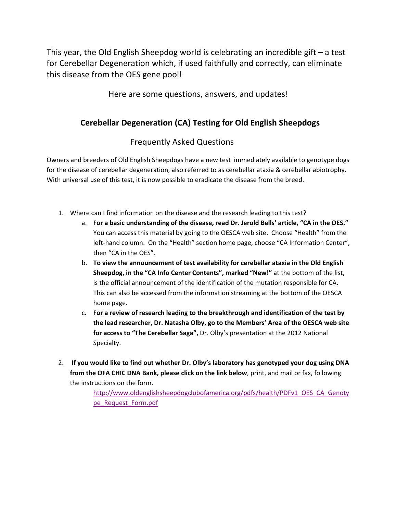This year, the Old English Sheepdog world is celebrating an incredible gift – a test for Cerebellar Degeneration which, if used faithfully and correctly, can eliminate this disease from the OES gene pool!

Here are some questions, answers, and updates!

## **Cerebellar Degeneration (CA) Testing for Old English Sheepdogs**

## Frequently Asked Questions

Owners and breeders of Old English Sheepdogs have a new test immediately available to genotype dogs for the disease of cerebellar degeneration, also referred to as cerebellar ataxia & cerebellar abiotrophy. With universal use of this test, it is now possible to eradicate the disease from the breed.

- 1. Where can I find information on the disease and the research leading to this test?
	- a. **For a basic understanding of the disease, read Dr. Jerold Bells' article, "CA in the OES."** You can access this material by going to the OESCA web site. Choose "Health" from the left-hand column. On the "Health" section home page, choose "CA Information Center", then "CA in the OES".
	- b. **To view the announcement of test availability for cerebellar ataxia in the Old English Sheepdog, in the "CA Info Center Contents", marked "New!"** at the bottom of the list, is the official announcement of the identification of the mutation responsible for CA. This can also be accessed from the information streaming at the bottom of the OESCA home page.
	- c. **For a review of research leading to the breakthrough and identification of the test by the lead researcher, Dr. Natasha Olby, go to the Members' Area of the OESCA web site for access to "The Cerebellar Saga",** Dr. Olby's presentation at the 2012 National Specialty.
- 2. **If you would like to find out whether Dr. Olby's laboratory has genotyped your dog using DNA from the OFA CHIC DNA Bank, please click on the link below**, print, and mail or fax, following the instructions on the form.

http://www.oldenglishsheepdogclubofamerica.org/pdfs/health/PDFv1\_OES\_CA\_Genoty pe\_Request\_Form.pdf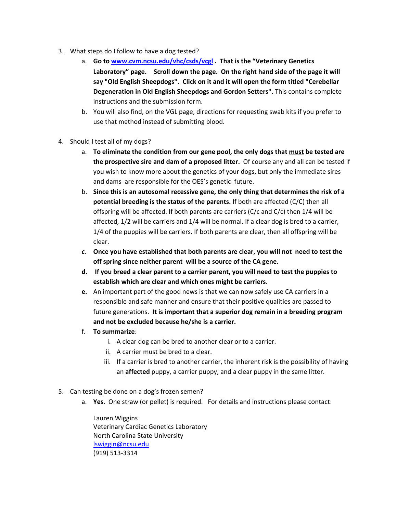- 3. What steps do I follow to have a dog tested?
	- a. **Go to www.cvm.ncsu.edu/vhc/csds/vcgl . That is the "Veterinary Genetics Laboratory" page. Scroll down the page. On the right hand side of the page it will say "Old English Sheepdogs". Click on it and it will open the form titled "Cerebellar Degeneration in Old English Sheepdogs and Gordon Setters".** This contains complete instructions and the submission form.
	- b. You will also find, on the VGL page, directions for requesting swab kits if you prefer to use that method instead of submitting blood.
- 4. Should I test all of my dogs?
	- a. **To eliminate the condition from our gene pool, the only dogs that must be tested are the prospective sire and dam of a proposed litter.** Of course any and all can be tested if you wish to know more about the genetics of your dogs, but only the immediate sires and dams are responsible for the OES's genetic future.
	- b. **Since this is an autosomal recessive gene, the only thing that determines the risk of a potential breeding is the status of the parents.** If both are affected (C/C) then all offspring will be affected. If both parents are carriers ( $C/c$  and  $C/c$ ) then 1/4 will be affected, 1/2 will be carriers and 1/4 will be normal. If a clear dog is bred to a carrier, 1/4 of the puppies will be carriers. If both parents are clear, then all offspring will be clear.
	- *c.* **Once you have established that both parents are clear, you will not need to test the off spring since neither parent will be a source of the CA gene.**
	- **d. If you breed a clear parent to a carrier parent, you will need to test the puppies to establish which are clear and which ones might be carriers.**
	- **e.** An important part of the good news is that we can now safely use CA carriers in a responsible and safe manner and ensure that their positive qualities are passed to future generations. **It is important that a superior dog remain in a breeding program and not be excluded because he/she is a carrier.**
	- f. **To summarize**:
		- i. A clear dog can be bred to another clear or to a carrier.
		- ii. A carrier must be bred to a clear.
		- iii. If a carrier is bred to another carrier, the inherent risk is the possibility of having an **affected** puppy, a carrier puppy, and a clear puppy in the same litter.
- 5. Can testing be done on a dog's frozen semen?
	- a. **Yes**. One straw (or pellet) is required. For details and instructions please contact:

Lauren Wiggins Veterinary Cardiac Genetics Laboratory North Carolina State University lswiggin@ncsu.edu (919) 513‐3314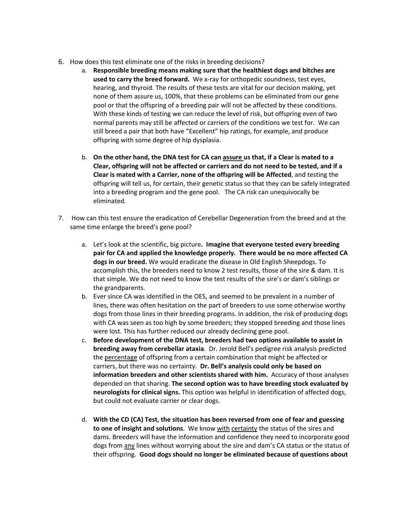- 6. How does this test eliminate one of the risks in breeding decisions?
	- a. **Responsible breeding means making sure that the healthiest dogs and bitches are used to carry the breed forward.** We x‐ray for orthopedic soundness, test eyes, hearing, and thyroid. The results of these tests are vital for our decision making, yet none of them assure us, 100%, that these problems can be eliminated from our gene pool or that the offspring of a breeding pair will not be affected by these conditions. With these kinds of testing we can reduce the level of risk, but offspring even of two normal parents may still be affected or carriers of the conditions we test for. We can still breed a pair that both have "Excellent" hip ratings, for example, and produce offspring with some degree of hip dysplasia.
	- b. On the other hand, the DNA test for CA can assure us that, if a Clear is mated to a **Clear, offspring will not be affected or carriers and do not need to be tested, and if a Clear is mated with a Carrier, none of the offspring will be Affected**, and testing the offspring will tell us, for certain, their genetic status so that they can be safely integrated into a breeding program and the gene pool. The CA risk can unequivocally be eliminated.
- 7. How can this test ensure the eradication of Cerebellar Degeneration from the breed and at the same time enlarge the breed's gene pool?
	- a. Let's look at the scientific, big picture**. Imagine that everyone tested every breeding pair for CA and applied the knowledge properly. There would be no more affected CA dogs in our breed.** We would eradicate the disease in Old English Sheepdogs. To accomplish this, the breeders need to know 2 test results, those of the sire & dam. It is that simple. We do not need to know the test results of the sire's or dam's siblings or the grandparents.
	- b. Ever since CA was identified in the OES, and seemed to be prevalent in a number of lines, there was often hesitation on the part of breeders to use some otherwise worthy dogs from those lines in their breeding programs. In addition, the risk of producing dogs with CA was seen as too high by some breeders; they stopped breeding and those lines were lost. This has further reduced our already declining gene pool.
	- c. **Before development of the DNA test, breeders had two options available to assist in breeding away from cerebellar ataxia**. Dr. Jerold Bell's pedigree risk analysis predicted the percentage of offspring from a certain combination that might be affected or carriers, but there was no certainty. **Dr. Bell's analysis could only be based on information breeders and other scientists shared with him.** Accuracy of those analyses depended on that sharing. **The second option was to have breeding stock evaluated by neurologists for clinical signs.** This option was helpful in identification of affected dogs, but could not evaluate carrier or clear dogs.
	- d. **With the CD (CA) Test, the situation has been reversed from one of fear and guessing to one of insight and solutions**. We know with certainty the status of the sires and dams. Breeders will have the information and confidence they need to incorporate good dogs from any lines without worrying about the sire and dam's CA status or the status of their offspring. **Good dogs should no longer be eliminated because of questions about**